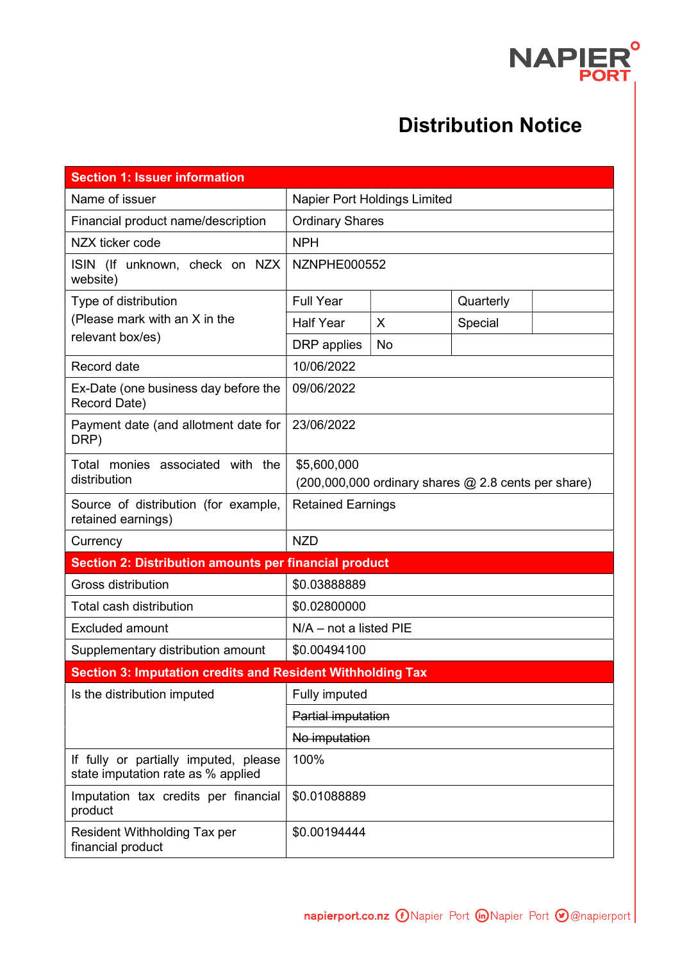

## Distribution Notice

| <b>Section 1: Issuer information</b>                                        |                                                          |           |           |  |
|-----------------------------------------------------------------------------|----------------------------------------------------------|-----------|-----------|--|
| Name of issuer                                                              | Napier Port Holdings Limited                             |           |           |  |
| Financial product name/description                                          | <b>Ordinary Shares</b>                                   |           |           |  |
| NZX ticker code                                                             | <b>NPH</b>                                               |           |           |  |
| ISIN (If unknown, check on NZX<br>website)                                  | <b>NZNPHE000552</b>                                      |           |           |  |
| Type of distribution                                                        | <b>Full Year</b>                                         |           | Quarterly |  |
| (Please mark with an X in the<br>relevant box/es)                           | <b>Half Year</b>                                         | $\sf X$   | Special   |  |
|                                                                             | DRP applies                                              | <b>No</b> |           |  |
| Record date                                                                 | 10/06/2022                                               |           |           |  |
| Ex-Date (one business day before the<br>Record Date)                        | 09/06/2022                                               |           |           |  |
| Payment date (and allotment date for<br>DRP)                                | 23/06/2022                                               |           |           |  |
| Total monies associated with the                                            | \$5,600,000                                              |           |           |  |
| distribution                                                                | $(200,000,000)$ ordinary shares $@$ 2.8 cents per share) |           |           |  |
| Source of distribution (for example,<br>retained earnings)                  | <b>Retained Earnings</b>                                 |           |           |  |
| Currency                                                                    | <b>NZD</b>                                               |           |           |  |
| <b>Section 2: Distribution amounts per financial product</b>                |                                                          |           |           |  |
| Gross distribution                                                          | \$0.03888889                                             |           |           |  |
| Total cash distribution                                                     | \$0.02800000                                             |           |           |  |
| <b>Excluded amount</b>                                                      | $N/A$ – not a listed PIE                                 |           |           |  |
| Supplementary distribution amount                                           | \$0.00494100                                             |           |           |  |
| <b>Section 3: Imputation credits and Resident Withholding Tax</b>           |                                                          |           |           |  |
| Is the distribution imputed                                                 | Fully imputed                                            |           |           |  |
|                                                                             | Partial imputation                                       |           |           |  |
|                                                                             | No imputation                                            |           |           |  |
| If fully or partially imputed, please<br>state imputation rate as % applied | 100%                                                     |           |           |  |
| Imputation tax credits per financial<br>product                             | \$0.01088889                                             |           |           |  |
| Resident Withholding Tax per<br>financial product                           | \$0.00194444                                             |           |           |  |